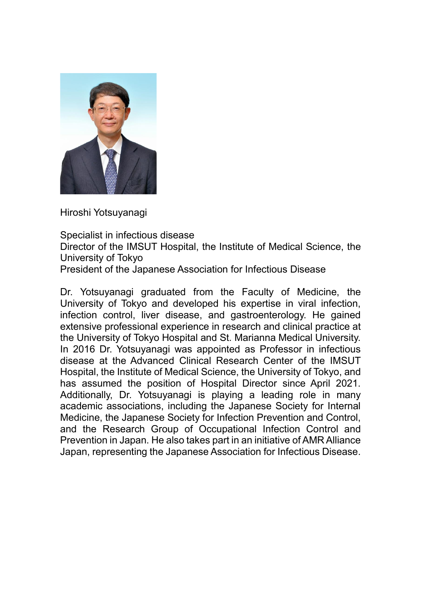

Hiroshi Yotsuyanagi

Specialist in infectious disease

Director of the IMSUT Hospital, the Institute of Medical Science, the University of Tokyo

President of the Japanese Association for Infectious Disease

Dr. Yotsuyanagi graduated from the Faculty of Medicine, the University of Tokyo and developed his expertise in viral infection, infection control, liver disease, and gastroenterology. He gained extensive professional experience in research and clinical practice at the University of Tokyo Hospital and St. Marianna Medical University. In 2016 Dr. Yotsuyanagi was appointed as Professor in infectious disease at the Advanced Clinical Research Center of the IMSUT Hospital, the Institute of Medical Science, the University of Tokyo, and has assumed the position of Hospital Director since April 2021. Additionally, Dr. Yotsuyanagi is playing a leading role in many academic associations, including the Japanese Society for Internal Medicine, the Japanese Society for Infection Prevention and Control, and the Research Group of Occupational Infection Control and Prevention in Japan. He also takes part in an initiative of AMR Alliance Japan, representing the Japanese Association for Infectious Disease.